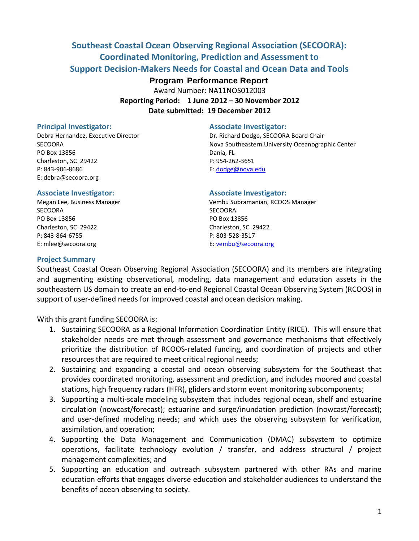# **Southeast Coastal Ocean Observing Regional Association (SECOORA): Coordinated Monitoring, Prediction and Assessment to Support Decision-Makers Needs for Coastal and Ocean Data and Tools**

## **Program Performance Report**

Award Number: NA11NOS012003

**Reporting Period: 1 June 2012 – 30 November 2012 Date submitted: 19 December 2012**

PO Box 13856 Dania, FL Charleston, SC 29422 P: 954-262-3651 P: 843-906-8686 E: [dodge@nova.edu](mailto:dodge@nova.edu) E: [debra@secoora.org](mailto:susannah@secoora.org)

#### **Principal Investigator:** Associate Investigator:

Debra Hernandez, Executive Director Dr. Richard Dodge, SECOORA Board Chair SECOORA Nova Southeastern University Oceanographic Center

#### **Associate Investigator: Associate Investigator:**

SECOORA SECOORA PO Box 13856 PO Box 13856 Charleston, SC 29422 Charleston, SC 29422 P: 843-864-6755 P: 803-528-3517 E[: mlee@secoora.org](mailto:mlee@secoora.org) E: [vembu@secoora.org](mailto:vembu@secoora.org)

Megan Lee, Business Manager Vembu Subramanian, RCOOS Manager

#### **Project Summary**

Southeast Coastal Ocean Observing Regional Association (SECOORA) and its members are integrating and augmenting existing observational, modeling, data management and education assets in the southeastern US domain to create an end-to-end Regional Coastal Ocean Observing System (RCOOS) in support of user-defined needs for improved coastal and ocean decision making.

With this grant funding SECOORA is:

- 1. Sustaining SECOORA as a Regional Information Coordination Entity (RICE). This will ensure that stakeholder needs are met through assessment and governance mechanisms that effectively prioritize the distribution of RCOOS-related funding, and coordination of projects and other resources that are required to meet critical regional needs;
- 2. Sustaining and expanding a coastal and ocean observing subsystem for the Southeast that provides coordinated monitoring, assessment and prediction, and includes moored and coastal stations, high frequency radars (HFR), gliders and storm event monitoring subcomponents;
- 3. Supporting a multi-scale modeling subsystem that includes regional ocean, shelf and estuarine circulation (nowcast/forecast); estuarine and surge/inundation prediction (nowcast/forecast); and user-defined modeling needs; and which uses the observing subsystem for verification, assimilation, and operation;
- 4. Supporting the Data Management and Communication (DMAC) subsystem to optimize operations, facilitate technology evolution / transfer, and address structural / project management complexities; and
- 5. Supporting an education and outreach subsystem partnered with other RAs and marine education efforts that engages diverse education and stakeholder audiences to understand the benefits of ocean observing to society.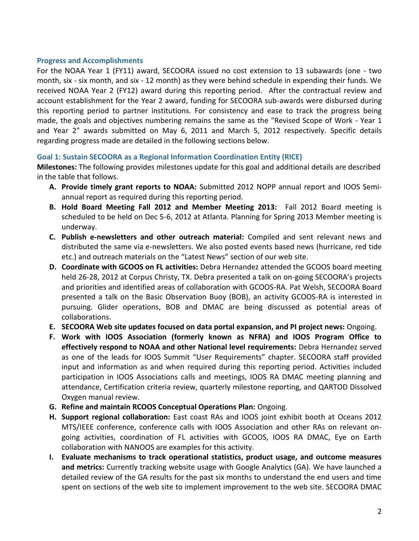#### **Progress and Accomplishments**

For the NOAA Year 1 (FY11) award, SECOORA issued no cost extension to 13 subawards (one - two month, six - six month, and six - 12 month) as they were behind schedule in expending their funds. We received NOAA Year 2 (FY12) award during this reporting period. After the contractual review and account establishment for the Year 2 award, funding for SECOORA sub-awards were disbursed during this reporting period to partner institutions. For consistency and ease to track the progress being made, the goals and objectives numbering remains the same as the "Revised Scope of Work - Year 1 and Year 2" awards submitted on May 6, 2011 and March 5, 2012 respectively. Specific details regarding progress made are detailed in the following sections below.

## **Goal 1: Sustain SECOORA as a Regional Information Coordination Entity (RICE)**

**Milestones:** The following provides milestones update for this goal and additional details are described in the table that follows.

- **A. Provide timely grant reports to NOAA:** Submitted 2012 NOPP annual report and IOOS Semiannual report as required during this reporting period.
- **B. Hold Board Meeting Fall 2012 and Member Meeting 2013:** Fall 2012 Board meeting is scheduled to be held on Dec 5-6, 2012 at Atlanta. Planning for Spring 2013 Member meeting is underway.
- **C. Publish e-newsletters and other outreach material:** Compiled and sent relevant news and distributed the same via e-newsletters. We also posted events based news (hurricane, red tide etc.) and outreach materials on the "Latest News" section of our web site.
- **D. Coordinate with GCOOS on FL activities:** Debra Hernandez attended the GCOOS board meeting held 26-28, 2012 at Corpus Christy, TX. Debra presented a talk on on-going SECOORA's projects and priorities and identified areas of collaboration with GCOOS-RA. Pat Welsh, SECOORA Board presented a talk on the Basic Observation Buoy (BOB), an activity GCOOS-RA is interested in pursuing. Glider operations, BOB and DMAC are being discussed as potential areas of collaborations.
- **E. SECOORA Web site updates focused on data portal expansion, and PI project news:** Ongoing.
- **F. Work with IOOS Association (formerly known as NFRA) and IOOS Program Office to effectively respond to NOAA and other National level requirements:** Debra Hernandez served as one of the leads for IOOS Summit "User Requirements" chapter. SECOORA staff provided input and information as and when required during this reporting period. Activities included participation in IOOS Associations calls and meetings, IOOS RA DMAC meeting planning and attendance, Certification criteria review, quarterly milestone reporting, and QARTOD Dissolved Oxygen manual review.
- **G. Refine and maintain RCOOS Conceptual Operations Plan:** Ongoing.
- **H. Support regional collaboration:** East coast RAs and IOOS joint exhibit booth at Oceans 2012 MTS/IEEE conference, conference calls with IOOS Association and other RAs on relevant ongoing activities, coordination of FL activities with GCOOS, IOOS RA DMAC, Eye on Earth collaboration with NANOOS are examples for this activity.
- **I. Evaluate mechanisms to track operational statistics, product usage, and outcome measures and metrics:** Currently tracking website usage with Google Analytics (GA). We have launched a detailed review of the GA results for the past six months to understand the end users and time spent on sections of the web site to implement improvement to the web site. SECOORA DMAC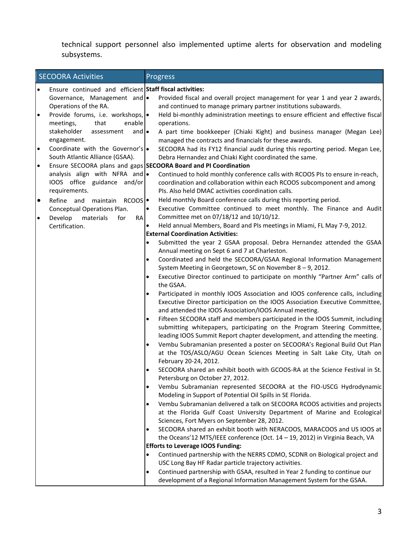technical support personnel also implemented uptime alerts for observation and modeling subsystems.

|           | <b>SECOORA Activities</b>                                       |           | Progress                                                                                                                                  |
|-----------|-----------------------------------------------------------------|-----------|-------------------------------------------------------------------------------------------------------------------------------------------|
| $\bullet$ | Ensure continued and efficient Staff fiscal activities:         |           |                                                                                                                                           |
|           | Governance, Management and .                                    |           | Provided fiscal and overall project management for year 1 and year 2 awards,                                                              |
|           | Operations of the RA.                                           |           | and continued to manage primary partner institutions subawards.                                                                           |
| $\bullet$ | Provide forums, i.e. workshops, .                               |           | Held bi-monthly administration meetings to ensure efficient and effective fiscal                                                          |
|           | that<br>enable<br>meetings,                                     |           | operations.                                                                                                                               |
|           | stakeholder<br>and $\bullet$<br>assessment                      |           | A part time bookkeeper (Chiaki Kight) and business manager (Megan Lee)                                                                    |
|           | engagement.                                                     |           | managed the contracts and financials for these awards.                                                                                    |
| .         | Coordinate with the Governor's .                                |           | SECOORA had its FY12 financial audit during this reporting period. Megan Lee,                                                             |
|           | South Atlantic Alliance (GSAA).                                 |           | Debra Hernandez and Chiaki Kight coordinated the same.                                                                                    |
| l.        | Ensure SECOORA plans and gaps SECOORA Board and PI Coordination |           |                                                                                                                                           |
|           | analysis align with NFRA and .                                  |           | Continued to hold monthly conference calls with RCOOS PIs to ensure in-reach,                                                             |
|           | IOOS office guidance and/or                                     |           | coordination and collaboration within each RCOOS subcomponent and among                                                                   |
|           | requirements.                                                   |           | PIs. Also held DMAC activities coordination calls.                                                                                        |
| $\bullet$ | Refine and maintain RCOOS                                       |           | Held monthly Board conference calls during this reporting period.                                                                         |
|           | Conceptual Operations Plan.                                     | $\bullet$ | Executive Committee continued to meet monthly. The Finance and Audit                                                                      |
| $\bullet$ | Develop<br>materials<br>for<br>RA                               |           | Committee met on 07/18/12 and 10/10/12.                                                                                                   |
|           | Certification.                                                  | $\bullet$ | Held annual Members, Board and PIs meetings in Miami, FL May 7-9, 2012.<br><b>External Coordination Activities:</b>                       |
|           |                                                                 | $\bullet$ | Submitted the year 2 GSAA proposal. Debra Hernandez attended the GSAA                                                                     |
|           |                                                                 |           | Annual meeting on Sept 6 and 7 at Charleston.                                                                                             |
|           |                                                                 | $\bullet$ | Coordinated and held the SECOORA/GSAA Regional Information Management                                                                     |
|           |                                                                 |           | System Meeting in Georgetown, SC on November 8 - 9, 2012.                                                                                 |
|           |                                                                 | $\bullet$ | Executive Director continued to participate on monthly "Partner Arm" calls of                                                             |
|           |                                                                 |           | the GSAA.                                                                                                                                 |
|           |                                                                 | $\bullet$ | Participated in monthly IOOS Association and IOOS conference calls, including                                                             |
|           |                                                                 |           | Executive Director participation on the IOOS Association Executive Committee,                                                             |
|           |                                                                 |           | and attended the IOOS Association/IOOS Annual meeting.                                                                                    |
|           |                                                                 | $\bullet$ | Fifteen SECOORA staff and members participated in the IOOS Summit, including                                                              |
|           |                                                                 |           | submitting whitepapers, participating on the Program Steering Committee,                                                                  |
|           |                                                                 |           | leading IOOS Summit Report chapter development, and attending the meeting.                                                                |
|           |                                                                 |           | Vembu Subramanian presented a poster on SECOORA's Regional Build Out Plan                                                                 |
|           |                                                                 |           | at the TOS/ASLO/AGU Ocean Sciences Meeting in Salt Lake City, Utah on                                                                     |
|           |                                                                 |           | February 20-24, 2012.                                                                                                                     |
|           |                                                                 | $\bullet$ | SECOORA shared an exhibit booth with GCOOS-RA at the Science Festival in St.                                                              |
|           |                                                                 |           | Petersburg on October 27, 2012.                                                                                                           |
|           |                                                                 | $\bullet$ | Vembu Subramanian represented SECOORA at the FIO-USCG Hydrodynamic                                                                        |
|           |                                                                 | $\bullet$ | Modeling in Support of Potential Oil Spills in SE Florida.<br>Vembu Subramanian delivered a talk on SECOORA RCOOS activities and projects |
|           |                                                                 |           | at the Florida Gulf Coast University Department of Marine and Ecological                                                                  |
|           |                                                                 |           | Sciences, Fort Myers on September 28, 2012.                                                                                               |
|           |                                                                 | $\bullet$ | SECOORA shared an exhibit booth with NERACOOS, MARACOOS and US IOOS at                                                                    |
|           |                                                                 |           | the Oceans'12 MTS/IEEE conference (Oct. 14 - 19, 2012) in Virginia Beach, VA                                                              |
|           |                                                                 |           | <b>Efforts to Leverage IOOS Funding:</b>                                                                                                  |
|           |                                                                 | $\bullet$ | Continued partnership with the NERRS CDMO, SCDNR on Biological project and                                                                |
|           |                                                                 |           | USC Long Bay HF Radar particle trajectory activities.                                                                                     |
|           |                                                                 | $\bullet$ | Continued partnership with GSAA, resulted in Year 2 funding to continue our                                                               |
|           |                                                                 |           | development of a Regional Information Management System for the GSAA.                                                                     |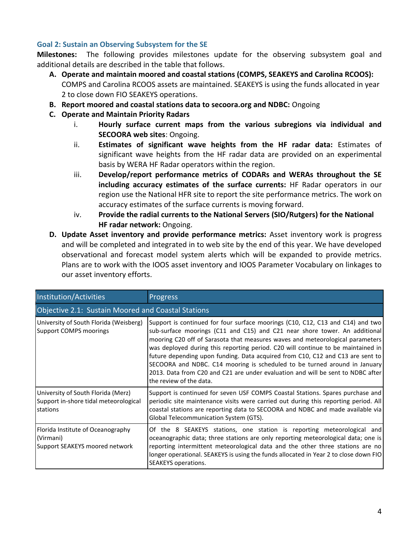## **Goal 2: Sustain an Observing Subsystem for the SE**

**Milestones:** The following provides milestones update for the observing subsystem goal and additional details are described in the table that follows.

- **A. Operate and maintain moored and coastal stations (COMPS, SEAKEYS and Carolina RCOOS):** COMPS and Carolina RCOOS assets are maintained. SEAKEYS is using the funds allocated in year 2 to close down FIO SEAKEYS operations.
- **B. Report moored and coastal stations data to secoora.org and NDBC:** Ongoing
- **C. Operate and Maintain Priority Radars**
	- i. **Hourly surface current maps from the various subregions via individual and SECOORA web sites**: Ongoing.
	- ii. **Estimates of significant wave heights from the HF radar data:** Estimates of significant wave heights from the HF radar data are provided on an experimental basis by WERA HF Radar operators within the region.
	- iii. **Develop/report performance metrics of CODARs and WERAs throughout the SE including accuracy estimates of the surface currents:** HF Radar operators in our region use the National HFR site to report the site performance metrics. The work on accuracy estimates of the surface currents is moving forward.
	- iv. **Provide the radial currents to the National Servers (SIO/Rutgers) for the National HF radar network:** Ongoing.
- **D. Update Asset inventory and provide performance metrics:** Asset inventory work is progress and will be completed and integrated in to web site by the end of this year. We have developed observational and forecast model system alerts which will be expanded to provide metrics. Plans are to work with the IOOS asset inventory and IOOS Parameter Vocabulary on linkages to our asset inventory efforts.

| <b>Institution/Activities</b>                                                           | <b>Progress</b>                                                                                                                                                                                                                                                                                                                                                                                                                                                                                                                                                                                                |  |  |  |
|-----------------------------------------------------------------------------------------|----------------------------------------------------------------------------------------------------------------------------------------------------------------------------------------------------------------------------------------------------------------------------------------------------------------------------------------------------------------------------------------------------------------------------------------------------------------------------------------------------------------------------------------------------------------------------------------------------------------|--|--|--|
| Objective 2.1: Sustain Moored and Coastal Stations                                      |                                                                                                                                                                                                                                                                                                                                                                                                                                                                                                                                                                                                                |  |  |  |
| University of South Florida (Weisberg)<br><b>Support COMPS moorings</b>                 | Support is continued for four surface moorings (C10, C12, C13 and C14) and two<br>sub-surface moorings (C11 and C15) and C21 near shore tower. An additional<br>mooring C20 off of Sarasota that measures waves and meteorological parameters<br>was deployed during this reporting period. C20 will continue to be maintained in<br>future depending upon funding. Data acquired from C10, C12 and C13 are sent to<br>SECOORA and NDBC. C14 mooring is scheduled to be turned around in January<br>2013. Data from C20 and C21 are under evaluation and will be sent to NDBC after<br>the review of the data. |  |  |  |
| University of South Florida (Merz)<br>Support in-shore tidal meteorological<br>stations | Support is continued for seven USF COMPS Coastal Stations. Spares purchase and<br>periodic site maintenance visits were carried out during this reporting period. All<br>coastal stations are reporting data to SECOORA and NDBC and made available via<br>Global Telecommunication System (GTS).                                                                                                                                                                                                                                                                                                              |  |  |  |
| Florida Institute of Oceanography<br>(Virmani)<br>Support SEAKEYS moored network        | Of the 8 SEAKEYS stations, one station is reporting meteorological and<br>oceanographic data; three stations are only reporting meteorological data; one is<br>reporting intermittent meteorological data and the other three stations are no<br>longer operational. SEAKEYS is using the funds allocated in Year 2 to close down FIO<br>SEAKEYS operations.                                                                                                                                                                                                                                                   |  |  |  |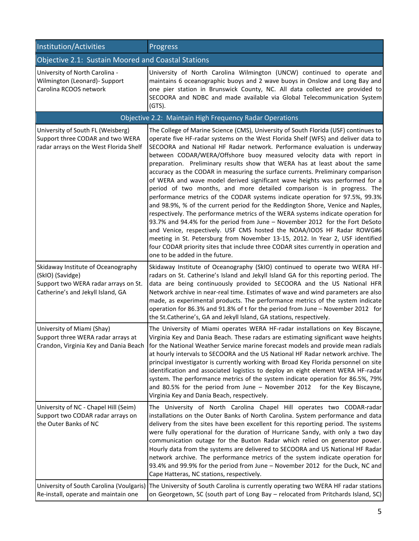| Institution/Activities                                                                                                              | Progress                                                                                                                                                                                                                                                                                                                                                                                                                                                                                                                                                                                                                                                                                                                                                                                                                                                                                                                                                                                                                                                                                                                                                                                                                                                                               |  |  |  |
|-------------------------------------------------------------------------------------------------------------------------------------|----------------------------------------------------------------------------------------------------------------------------------------------------------------------------------------------------------------------------------------------------------------------------------------------------------------------------------------------------------------------------------------------------------------------------------------------------------------------------------------------------------------------------------------------------------------------------------------------------------------------------------------------------------------------------------------------------------------------------------------------------------------------------------------------------------------------------------------------------------------------------------------------------------------------------------------------------------------------------------------------------------------------------------------------------------------------------------------------------------------------------------------------------------------------------------------------------------------------------------------------------------------------------------------|--|--|--|
| Objective 2.1: Sustain Moored and Coastal Stations                                                                                  |                                                                                                                                                                                                                                                                                                                                                                                                                                                                                                                                                                                                                                                                                                                                                                                                                                                                                                                                                                                                                                                                                                                                                                                                                                                                                        |  |  |  |
| University of North Carolina -<br>Wilmington (Leonard) - Support<br>Carolina RCOOS network                                          | University of North Carolina Wilmington (UNCW) continued to operate and<br>maintains 6 oceanographic buoys and 2 wave buoys in Onslow and Long Bay and<br>one pier station in Brunswick County, NC. All data collected are provided to<br>SECOORA and NDBC and made available via Global Telecommunication System<br>(GTS).                                                                                                                                                                                                                                                                                                                                                                                                                                                                                                                                                                                                                                                                                                                                                                                                                                                                                                                                                            |  |  |  |
|                                                                                                                                     | Objective 2.2: Maintain High Frequency Radar Operations                                                                                                                                                                                                                                                                                                                                                                                                                                                                                                                                                                                                                                                                                                                                                                                                                                                                                                                                                                                                                                                                                                                                                                                                                                |  |  |  |
| University of South FL (Weisberg)<br>Support three CODAR and two WERA<br>radar arrays on the West Florida Shelf                     | The College of Marine Science (CMS), University of South Florida (USF) continues to<br>operate five HF-radar systems on the West Florida Shelf (WFS) and deliver data to<br>SECOORA and National HF Radar network. Performance evaluation is underway<br>between CODAR/WERA/Offshore buoy measured velocity data with report in<br>preparation. Preliminary results show that WERA has at least about the same<br>accuracy as the CODAR in measuring the surface currents. Preliminary comparison<br>of WERA and wave model derived significant wave heights was performed for a<br>period of two months, and more detailed comparison is in progress. The<br>performance metrics of the CODAR systems indicate operation for 97.5%, 99.3%<br>and 98.9%, % of the current period for the Reddington Shore, Venice and Naples,<br>respectively. The performance metrics of the WERA systems indicate operation for<br>93.7% and 94.4% for the period from June - November 2012 for the Fort DeSoto<br>and Venice, respectively. USF CMS hosted the NOAA/IOOS HF Radar ROWG#6<br>meeting in St. Petersburg from November 13-15, 2012. In Year 2, USF identified<br>four CODAR priority sites that include three CODAR sites currently in operation and<br>one to be added in the future. |  |  |  |
| Skidaway Institute of Oceanography<br>(SkIO) (Savidge)<br>Support two WERA radar arrays on St.<br>Catherine's and Jekyll Island, GA | Skidaway Institute of Oceanography (SkIO) continued to operate two WERA HF-<br>radars on St. Catherine's Island and Jekyll Island GA for this reporting period. The<br>data are being continuously provided to SECOORA and the US National HFR<br>Network archive in near-real time. Estimates of wave and wind parameters are also<br>made, as experimental products. The performance metrics of the system indicate<br>operation for 86.3% and 91.8% of t for the period from June - November 2012 for<br>the St.Catherine's, GA and Jekyll Island, GA stations, respectively.                                                                                                                                                                                                                                                                                                                                                                                                                                                                                                                                                                                                                                                                                                       |  |  |  |
| University of Miami (Shay)<br>Support three WERA radar arrays at<br>Crandon, Virginia Key and Dania Beach                           | The University of Miami operates WERA HF-radar installations on Key Biscayne,<br>Virginia Key and Dania Beach. These radars are estimating significant wave heights<br>for the National Weather Service marine forecast models and provide mean radials<br>at hourly intervals to SECOORA and the US National HF Radar network archive. The<br>principal investigator is currently working with Broad Key Florida personnel on site<br>identification and associated logistics to deploy an eight element WERA HF-radar<br>system. The performance metrics of the system indicate operation for 86.5%, 79%<br>and 80.5% for the period from June $-$ November 2012 for the Key Biscayne,<br>Virginia Key and Dania Beach, respectively.                                                                                                                                                                                                                                                                                                                                                                                                                                                                                                                                                |  |  |  |
| University of NC - Chapel Hill (Seim)<br>Support two CODAR radar arrays on<br>the Outer Banks of NC                                 | The University of North Carolina Chapel Hill operates two CODAR-radar<br>installations on the Outer Banks of North Carolina. System performance and data<br>delivery from the sites have been excellent for this reporting period. The systems<br>were fully operational for the duration of Hurricane Sandy, with only a two day<br>communication outage for the Buxton Radar which relied on generator power.<br>Hourly data from the systems are delivered to SECOORA and US National HF Radar<br>network archive. The performance metrics of the system indicate operation for<br>93.4% and 99.9% for the period from June - November 2012 for the Duck, NC and<br>Cape Hatteras, NC stations, respectively.                                                                                                                                                                                                                                                                                                                                                                                                                                                                                                                                                                       |  |  |  |
| Re-install, operate and maintain one                                                                                                | University of South Carolina (Voulgaris) The University of South Carolina is currently operating two WERA HF radar stations<br>on Georgetown, SC (south part of Long Bay - relocated from Pritchards Island, SC)                                                                                                                                                                                                                                                                                                                                                                                                                                                                                                                                                                                                                                                                                                                                                                                                                                                                                                                                                                                                                                                                       |  |  |  |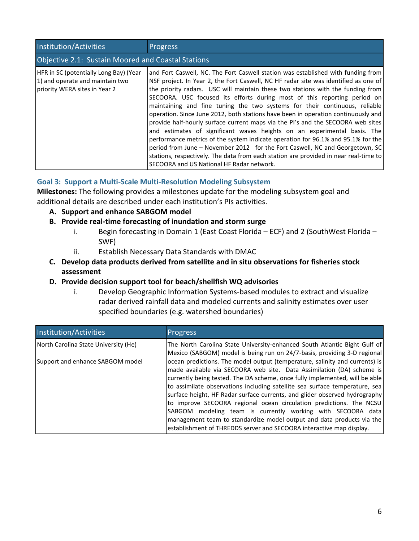| Institution/Activities                                                                                            | <b>Progress</b>                                                                                                                                                                                                                                                                                                                                                                                                                                                                                                                                                                                                                                                                                                                                                                                                                                                                                                                                                                   |  |  |  |  |
|-------------------------------------------------------------------------------------------------------------------|-----------------------------------------------------------------------------------------------------------------------------------------------------------------------------------------------------------------------------------------------------------------------------------------------------------------------------------------------------------------------------------------------------------------------------------------------------------------------------------------------------------------------------------------------------------------------------------------------------------------------------------------------------------------------------------------------------------------------------------------------------------------------------------------------------------------------------------------------------------------------------------------------------------------------------------------------------------------------------------|--|--|--|--|
| Objective 2.1: Sustain Moored and Coastal Stations                                                                |                                                                                                                                                                                                                                                                                                                                                                                                                                                                                                                                                                                                                                                                                                                                                                                                                                                                                                                                                                                   |  |  |  |  |
| <b>HFR in SC (potentially Long Bay) (Year</b><br>1) and operate and maintain two<br>priority WERA sites in Year 2 | and Fort Caswell, NC. The Fort Caswell station was established with funding from<br>NSF project. In Year 2, the Fort Caswell, NC HF radar site was identified as one of<br>the priority radars. USC will maintain these two stations with the funding from<br>SECOORA. USC focused its efforts during most of this reporting period on<br>maintaining and fine tuning the two systems for their continuous, reliable<br>operation. Since June 2012, both stations have been in operation continuously and<br>provide half-hourly surface current maps via the PI's and the SECOORA web sites<br>and estimates of significant waves heights on an experimental basis. The<br>performance metrics of the system indicate operation for 96.1% and 95.1% for the<br>period from June - November 2012 for the Fort Caswell, NC and Georgetown, SC<br>stations, respectively. The data from each station are provided in near real-time to<br>SECOORA and US National HF Radar network. |  |  |  |  |

## **Goal 3: Support a Multi-Scale Multi-Resolution Modeling Subsystem**

**Milestones:** The following provides a milestones update for the modeling subsystem goal and additional details are described under each institution's PIs activities.

- **A. Support and enhance SABGOM model**
- **B. Provide real-time forecasting of inundation and storm surge**
	- i. Begin forecasting in Domain 1 (East Coast Florida ECF) and 2 (SouthWest Florida SWF)
	- ii. Establish Necessary Data Standards with DMAC
- **C. Develop data products derived from satellite and in situ observations for fisheries stock assessment**
- **D. Provide decision support tool for beach/shellfish WQ advisories**
	- i. Develop Geographic Information Systems-based modules to extract and visualize radar derived rainfall data and modeled currents and salinity estimates over user specified boundaries (e.g. watershed boundaries)

| Institution/Activities               | <b>Progress</b>                                                                                                                                         |
|--------------------------------------|---------------------------------------------------------------------------------------------------------------------------------------------------------|
| North Carolina State University (He) | The North Carolina State University-enhanced South Atlantic Bight Gulf of                                                                               |
| Support and enhance SABGOM model     | Mexico (SABGOM) model is being run on 24/7-basis, providing 3-D regional<br>ocean predictions. The model output (temperature, salinity and currents) is |
|                                      | made available via SECOORA web site. Data Assimilation (DA) scheme is<br>currently being tested. The DA scheme, once fully implemented, will be able    |
|                                      | to assimilate observations including satellite sea surface temperature, sea                                                                             |
|                                      | surface height, HF Radar surface currents, and glider observed hydrography<br>to improve SECOORA regional ocean circulation predictions. The NCSU       |
|                                      | SABGOM modeling team is currently working with SECOORA data                                                                                             |
|                                      | management team to standardize model output and data products via the<br>establishment of THREDDS server and SECOORA interactive map display.           |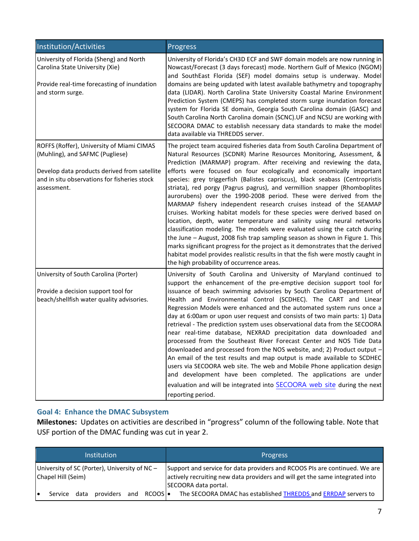| Institution/Activities                                                                                                                        | Progress                                                                                                                                                                                                                                                                                                                                                                                                                                                                                                                                                                                                                                                                                                                                                                                                                                                                                                                                                                                                                                                                     |
|-----------------------------------------------------------------------------------------------------------------------------------------------|------------------------------------------------------------------------------------------------------------------------------------------------------------------------------------------------------------------------------------------------------------------------------------------------------------------------------------------------------------------------------------------------------------------------------------------------------------------------------------------------------------------------------------------------------------------------------------------------------------------------------------------------------------------------------------------------------------------------------------------------------------------------------------------------------------------------------------------------------------------------------------------------------------------------------------------------------------------------------------------------------------------------------------------------------------------------------|
| University of Florida (Sheng) and North<br>Carolina State University (Xie)<br>Provide real-time forecasting of inundation<br>and storm surge. | University of Florida's CH3D ECF and SWF domain models are now running in<br>Nowcast/Forecast (3 days forecast) mode. Northern Gulf of Mexico (NGOM)<br>and SouthEast Florida (SEF) model domains setup is underway. Model<br>domains are being updated with latest available bathymetry and topography<br>data (LIDAR). North Carolina State University Coastal Marine Environment<br>Prediction System (CMEPS) has completed storm surge inundation forecast<br>system for Florida SE domain, Georgia South Carolina domain (GASC) and<br>South Carolina North Carolina domain (SCNC).UF and NCSU are working with<br>SECOORA DMAC to establish necessary data standards to make the model<br>data available via THREDDS server.                                                                                                                                                                                                                                                                                                                                           |
| ROFFS (Roffer), University of Miami CIMAS<br>(Muhling), and SAFMC (Pugliese)<br>Develop data products derived from satellite                  | The project team acquired fisheries data from South Carolina Department of<br>Natural Resources (SCDNR) Marine Resources Monitoring, Assessment, &<br>Prediction (MARMAP) program. After receiving and reviewing the data,<br>efforts were focused on four ecologically and economically important                                                                                                                                                                                                                                                                                                                                                                                                                                                                                                                                                                                                                                                                                                                                                                           |
| and in situ observations for fisheries stock<br>assessment.                                                                                   | species: grey triggerfish (Balistes capriscus), black seabass (Centropristis<br>striata), red porgy (Pagrus pagrus), and vermillion snapper (Rhomboplites<br>aurorubens) over the 1990-2008 period. These were derived from the<br>MARMAP fishery independent research cruises instead of the SEAMAP<br>cruises. Working habitat models for these species were derived based on<br>location, depth, water temperature and salinity using neural networks<br>classification modeling. The models were evaluated using the catch during<br>the June - August, 2008 fish trap sampling season as shown in Figure 1. This<br>marks significant progress for the project as it demonstrates that the derived<br>habitat model provides realistic results in that the fish were mostly caught in<br>the high probability of occurrence areas.                                                                                                                                                                                                                                      |
| University of South Carolina (Porter)<br>Provide a decision support tool for<br>beach/shellfish water quality advisories.                     | University of South Carolina and University of Maryland continued to<br>support the enhancement of the pre-emptive decision support tool for<br>issuance of beach swimming advisories by South Carolina Department of<br>Health and Environmental Control (SCDHEC). The CART and Linear<br>Regression Models were enhanced and the automated system runs once a<br>day at 6:00am or upon user request and consists of two main parts: 1) Data<br>retrieval - The prediction system uses observational data from the SECOORA<br>near real-time database, NEXRAD precipitation data downloaded and<br>processed from the Southeast River Forecast Center and NOS Tide Data<br>downloaded and processed from the NOS website, and; 2) Product output -<br>An email of the test results and map output is made available to SCDHEC<br>users via SECOORA web site. The web and Mobile Phone application design<br>and development have been completed. The applications are under<br>evaluation and will be integrated into SECOORA web site during the next<br>reporting period. |

## **Goal 4: Enhance the DMAC Subsystem**

**Milestones:** Updates on activities are described in "progress" column of the following table. Note that USF portion of the DMAC funding was cut in year 2.

| Institution                                                         |         |      |           |  |             | <b>Progress</b>                                                                                                                                                                    |
|---------------------------------------------------------------------|---------|------|-----------|--|-------------|------------------------------------------------------------------------------------------------------------------------------------------------------------------------------------|
| University of SC (Porter), University of NC -<br>Chapel Hill (Seim) |         |      |           |  |             | Support and service for data providers and RCOOS PIs are continued. We are<br>actively recruiting new data providers and will get the same integrated into<br>SECOORA data portal. |
| і е                                                                 | Service | data | providers |  | and RCOOSI. | The SECOORA DMAC has established THREDDS and ERRDAP servers to                                                                                                                     |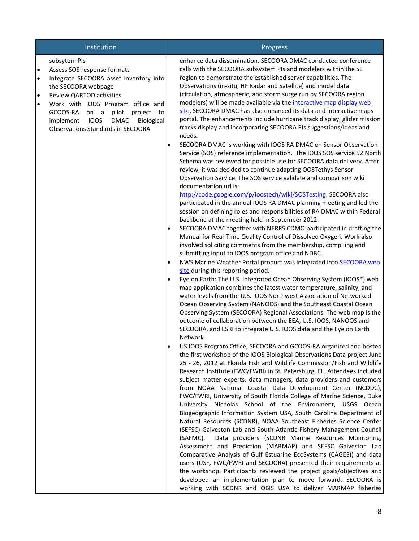|                                                  | Institution                                                                                                                                                                                                                                                                                                                      |           | Progress                                                                                                                                                                                                                                                                                                                                                                                                                                                                                                                                                                                                                                                                                                                                                                                                                                                                                                                                                                                                                                                                                                                                                                                                                                                                                          |
|--------------------------------------------------|----------------------------------------------------------------------------------------------------------------------------------------------------------------------------------------------------------------------------------------------------------------------------------------------------------------------------------|-----------|---------------------------------------------------------------------------------------------------------------------------------------------------------------------------------------------------------------------------------------------------------------------------------------------------------------------------------------------------------------------------------------------------------------------------------------------------------------------------------------------------------------------------------------------------------------------------------------------------------------------------------------------------------------------------------------------------------------------------------------------------------------------------------------------------------------------------------------------------------------------------------------------------------------------------------------------------------------------------------------------------------------------------------------------------------------------------------------------------------------------------------------------------------------------------------------------------------------------------------------------------------------------------------------------------|
| $\bullet$<br>$\bullet$<br>$\bullet$<br>$\bullet$ | subsytem PIs<br>Assess SOS response formats<br>Integrate SECOORA asset inventory into<br>the SECOORA webpage<br>Review QARTOD activities<br>Work with IOOS Program office and<br>GCOOS-RA<br>pilot<br>on a<br>project<br>to<br>implement<br><b>IOOS</b><br><b>DMAC</b><br>Biological<br><b>Observations Standards in SECOORA</b> |           | enhance data dissemination. SECOORA DMAC conducted conference<br>calls with the SECOORA subsystem PIs and modelers within the SE<br>region to demonstrate the established server capabilities. The<br>Observations (in-situ, HF Radar and Satellite) and model data<br>(circulation, atmospheric, and storm surge run by SECOORA region<br>modelers) will be made available via the interactive map display web<br>site. SECOORA DMAC has also enhanced its data and interactive maps<br>portal. The enhancements include hurricane track display, glider mission<br>tracks display and incorporating SECOORA PIs suggestions/ideas and<br>needs.                                                                                                                                                                                                                                                                                                                                                                                                                                                                                                                                                                                                                                                 |
|                                                  |                                                                                                                                                                                                                                                                                                                                  | ٠         | SECOORA DMAC is working with IOOS RA DMAC on Sensor Observation<br>Service (SOS) reference implementation. The IOOS SOS service 52 North<br>Schema was reviewed for possible use for SECOORA data delivery. After<br>review, it was decided to continue adapting OOSTethys Sensor<br>Observation Service. The SOS service validate and comparison wiki<br>documentation url is:<br>http://code.google.com/p/ioostech/wiki/SOSTesting. SECOORA also<br>participated in the annual IOOS RA DMAC planning meeting and led the<br>session on defining roles and responsibilities of RA DMAC within Federal                                                                                                                                                                                                                                                                                                                                                                                                                                                                                                                                                                                                                                                                                            |
|                                                  |                                                                                                                                                                                                                                                                                                                                  | $\bullet$ | backbone at the meeting held in September 2012.<br>SECOORA DMAC together with NERRS CDMO participated in drafting the<br>Manual for Real-Time Quality Control of Dissolved Oxygen. Work also<br>involved soliciting comments from the membership, compiling and<br>submitting input to IOOS program office and NDBC.                                                                                                                                                                                                                                                                                                                                                                                                                                                                                                                                                                                                                                                                                                                                                                                                                                                                                                                                                                              |
|                                                  |                                                                                                                                                                                                                                                                                                                                  | $\bullet$ | NWS Marine Weather Portal product was integrated into <b>SECOORA</b> web<br>site during this reporting period.                                                                                                                                                                                                                                                                                                                                                                                                                                                                                                                                                                                                                                                                                                                                                                                                                                                                                                                                                                                                                                                                                                                                                                                    |
|                                                  |                                                                                                                                                                                                                                                                                                                                  | $\bullet$ | Eye on Earth: The U.S. Integrated Ocean Observing System (IOOS®) web<br>map application combines the latest water temperature, salinity, and<br>water levels from the U.S. IOOS Northwest Association of Networked<br>Ocean Observing System (NANOOS) and the Southeast Coastal Ocean<br>Observing System (SECOORA) Regional Associations. The web map is the<br>outcome of collaboration between the EEA, U.S. IOOS, NANOOS and<br>SECOORA, and ESRI to integrate U.S. IOOS data and the Eye on Earth                                                                                                                                                                                                                                                                                                                                                                                                                                                                                                                                                                                                                                                                                                                                                                                            |
|                                                  |                                                                                                                                                                                                                                                                                                                                  |           | Network.<br>US IOOS Program Office, SECOORA and GCOOS-RA organized and hosted<br>the first workshop of the IOOS Biological Observations Data project June<br>25 - 26, 2012 at Florida Fish and Wildlife Commission/Fish and Wildlife<br>Research Institute (FWC/FWRI) in St. Petersburg, FL. Attendees included<br>subject matter experts, data managers, data providers and customers<br>from NOAA National Coastal Data Development Center (NCDDC),<br>FWC/FWRI, University of South Florida College of Marine Science, Duke<br>University Nicholas School of the Environment, USGS Ocean<br>Biogeographic Information System USA, South Carolina Department of<br>Natural Resources (SCDNR), NOAA Southeast Fisheries Science Center<br>(SEFSC) Galveston Lab and South Atlantic Fishery Management Council<br>(SAFMC).<br>Data providers (SCDNR Marine Resources Monitoring,<br>Assessment and Prediction (MARMAP) and SEFSC Galveston Lab<br>Comparative Analysis of Gulf Estuarine EcoSystems (CAGES)) and data<br>users (USF, FWC/FWRI and SECOORA) presented their requirements at<br>the workshop. Participants reviewed the project goals/objectives and<br>developed an implementation plan to move forward. SECOORA is<br>working with SCDNR and OBIS USA to deliver MARMAP fisheries |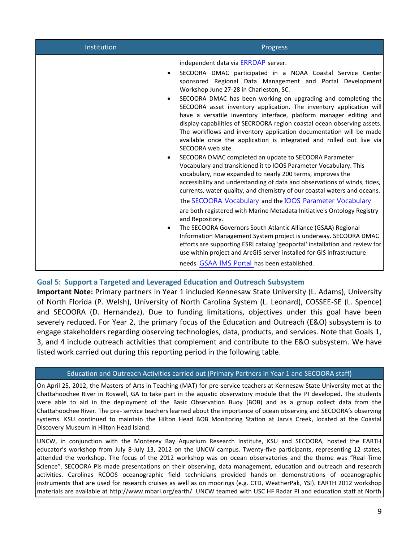| Institution | Progress                                                                                                                                                                                                                                                                                                                                                                                                                                                                                                                                                                                                                                                                                                                                                                                                                                                                                                                                                                                                                                                                                                                                                                                                                                                                                                                                                                                                                                                                                                                                                                            |
|-------------|-------------------------------------------------------------------------------------------------------------------------------------------------------------------------------------------------------------------------------------------------------------------------------------------------------------------------------------------------------------------------------------------------------------------------------------------------------------------------------------------------------------------------------------------------------------------------------------------------------------------------------------------------------------------------------------------------------------------------------------------------------------------------------------------------------------------------------------------------------------------------------------------------------------------------------------------------------------------------------------------------------------------------------------------------------------------------------------------------------------------------------------------------------------------------------------------------------------------------------------------------------------------------------------------------------------------------------------------------------------------------------------------------------------------------------------------------------------------------------------------------------------------------------------------------------------------------------------|
|             | independent data via ERRDAP server.<br>SECOORA DMAC participated in a NOAA Coastal Service Center<br>$\bullet$<br>sponsored Regional Data Management and Portal Development<br>Workshop June 27-28 in Charleston, SC.<br>SECOORA DMAC has been working on upgrading and completing the<br>$\bullet$<br>SECOORA asset inventory application. The inventory application will<br>have a versatile inventory interface, platform manager editing and<br>display capabilities of SECROORA region coastal ocean observing assets.<br>The workflows and inventory application documentation will be made<br>available once the application is integrated and rolled out live via<br>SECOORA web site.<br>SECOORA DMAC completed an update to SECOORA Parameter<br>$\bullet$<br>Vocabulary and transitioned it to IOOS Parameter Vocabulary. This<br>vocabulary, now expanded to nearly 200 terms, improves the<br>accessibility and understanding of data and observations of winds, tides,<br>currents, water quality, and chemistry of our coastal waters and oceans.<br>The SECOORA Vocabulary and the IOOS Parameter Vocabulary<br>are both registered with Marine Metadata Initiative's Ontology Registry<br>and Repository.<br>The SECOORA Governors South Atlantic Alliance (GSAA) Regional<br>$\bullet$<br>Information Management System project is underway. SECOORA DMAC<br>efforts are supporting ESRI catalog 'geoportal' installation and review for<br>use within project and ArcGIS server installed for GIS infrastructure<br>needs. GSAA IMS Portal has been established. |
|             |                                                                                                                                                                                                                                                                                                                                                                                                                                                                                                                                                                                                                                                                                                                                                                                                                                                                                                                                                                                                                                                                                                                                                                                                                                                                                                                                                                                                                                                                                                                                                                                     |

## **Goal 5: Support a Targeted and Leveraged Education and Outreach Subsystem**

**Important Note:** Primary partners in Year 1 included Kennesaw State University (L. Adams), University of North Florida (P. Welsh), University of North Carolina System (L. Leonard), COSSEE-SE (L. Spence) and SECOORA (D. Hernandez). Due to funding limitations, objectives under this goal have been severely reduced. For Year 2, the primary focus of the Education and Outreach (E&O) subsystem is to engage stakeholders regarding observing technologies, data, products, and services. Note that Goals 1, 3, and 4 include outreach activities that complement and contribute to the E&O subsystem. We have listed work carried out during this reporting period in the following table.

## Education and Outreach Activities carried out (Primary Partners in Year 1 and SECOORA staff)

On April 25, 2012, the Masters of Arts in Teaching (MAT) for pre-service teachers at Kennesaw State University met at the Chattahoochee River in Roswell, GA to take part in the aquatic observatory module that the PI developed. The students were able to aid in the deployment of the Basic Observation Buoy (BOB) and as a group collect data from the Chattahoochee River. The pre- service teachers learned about the importance of ocean observing and SECOORA's observing systems. KSU continued to maintain the Hilton Head BOB Monitoring Station at Jarvis Creek, located at the Coastal Discovery Museum in Hilton Head Island.

UNCW, in conjunction with the Monterey Bay Aquarium Research Institute, KSU and SECOORA, hosted the EARTH educator's workshop from July 8-July 13, 2012 on the UNCW campus. Twenty-five participants, representing 12 states, attended the workshop. The focus of the 2012 workshop was on ocean observatories and the theme was "Real Time Science". SECOORA PIs made presentations on their observing, data management, education and outreach and research activities. Carolinas RCOOS oceanographic field technicians provided hands-on demonstrations of oceanographic instruments that are used for research cruises as well as on moorings (e.g. CTD, WeatherPak, YSI). EARTH 2012 workshop materials are available at http://www.mbari.org/earth/. UNCW teamed with USC HF Radar PI and education staff at North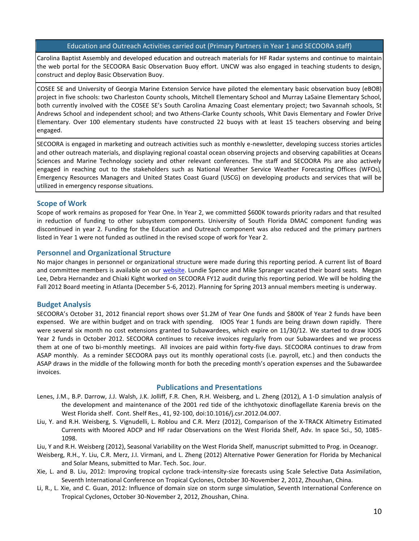#### Education and Outreach Activities carried out (Primary Partners in Year 1 and SECOORA staff)

Carolina Baptist Assembly and developed education and outreach materials for HF Radar systems and continue to maintain the web portal for the SECOORA Basic Observation Buoy effort. UNCW was also engaged in teaching students to design, construct and deploy Basic Observation Buoy.

COSEE SE and University of Georgia Marine Extension Service have piloted the elementary basic observation buoy (eBOB) project in five schools: two Charleston County schools, Mitchell Elementary School and Murray LaSaine Elementary School, both currently involved with the COSEE SE's South Carolina Amazing Coast elementary project; two Savannah schools, St Andrews School and independent school; and two Athens-Clarke County schools, Whit Davis Elementary and Fowler Drive Elementary. Over 100 elementary students have constructed 22 buoys with at least 15 teachers observing and being engaged.

SECOORA is engaged in marketing and outreach activities such as monthly e-newsletter, developing success stories articles and other outreach materials, and displaying regional coastal ocean observing projects and observing capabilities at Oceans Sciences and Marine Technology society and other relevant conferences. The staff and SECOORA PIs are also actively engaged in reaching out to the stakeholders such as National Weather Service Weather Forecasting Offices (WFOs), Emergency Resources Managers and United States Coast Guard (USCG) on developing products and services that will be utilized in emergency response situations.

#### **Scope of Work**

Scope of work remains as proposed for Year One. In Year 2, we committed \$600K towards priority radars and that resulted in reduction of funding to other subsystem components. University of South Florida DMAC component funding was discontinued in year 2. Funding for the Education and Outreach component was also reduced and the primary partners listed in Year 1 were not funded as outlined in the revised scope of work for Year 2.

#### **Personnel and Organizational Structure**

No major changes in personnel or organizational structure were made during this reporting period. A current list of Board and committee members is available on our [website.](http://secoora.org/members/board#http://secoora.org/members/board) Lundie Spence and Mike Spranger vacated their board seats. Megan Lee, Debra Hernandez and Chiaki Kight worked on SECOORA FY12 audit during this reporting period. We will be holding the Fall 2012 Board meeting in Atlanta (December 5-6, 2012). Planning for Spring 2013 annual members meeting is underway.

#### **Budget Analysis**

SECOORA's October 31, 2012 financial report shows over \$1.2M of Year One funds and \$800K of Year 2 funds have been expensed. We are within budget and on track with spending. IOOS Year 1 funds are being drawn down rapidly. There were several six month no cost extensions granted to Subawardees, which expire on 11/30/12. We started to draw IOOS Year 2 funds in October 2012. SECOORA continues to receive invoices regularly from our Subawardees and we process them at one of two bi-monthly meetings. All invoices are paid within forty-five days. SECOORA continues to draw from ASAP monthly. As a reminder SECOORA pays out its monthly operational costs (i.e. payroll, etc.) and then conducts the ASAP draws in the middle of the following month for both the preceding month's operation expenses and the Subawardee invoices.

#### **Publications and Presentations**

- Lenes, J.M., B.P. Darrow, J.J. Walsh, J.K. Jolliff, F.R. Chen, R.H. Weisberg, and L. Zheng (2012), A 1-D simulation analysis of the development and maintenance of the 2001 red tide of the ichthyotoxic dinoflagellate Karenia brevis on the West Florida shelf. Cont. Shelf Res., 41, 92-100, doi:10.1016/j.csr.2012.04.007.
- Liu, Y. and R.H. Weisberg, S. Vignudelli, L. Roblou and C.R. Merz (2012), Comparison of the X-TRACK Altimetry Estimated Currents with Moored ADCP and HF radar Observations on the West Florida Shelf, Adv. In space Sci., 50, 1085- 1098.
- Liu, Y and R.H. Weisberg (2012), Seasonal Variability on the West Florida Shelf, manuscript submitted to Prog. in Oceanogr.
- Weisberg, R.H., Y. Liu, C.R. Merz, J.I. Virmani, and L. Zheng (2012) Alternative Power Generation for Florida by Mechanical and Solar Means, submitted to Mar. Tech. Soc. Jour.
- Xie, L. and B. Liu, 2012: Improving tropical cyclone track-intensity-size forecasts using Scale Selective Data Assimilation, Seventh International Conference on Tropical Cyclones, October 30-November 2, 2012, Zhoushan, China.
- Li, R., L. Xie, and C. Guan, 2012: Influence of domain size on storm surge simulation, Seventh International Conference on Tropical Cyclones, October 30-November 2, 2012, Zhoushan, China.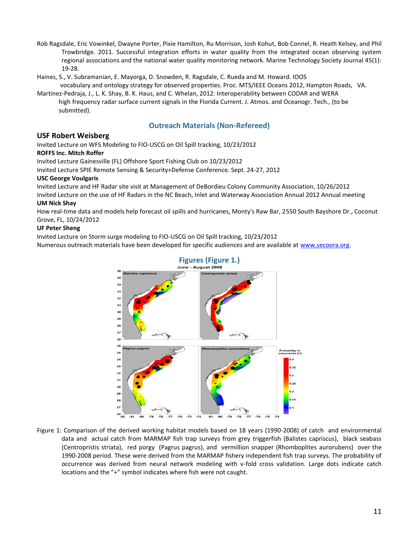- Rob Ragsdale, Eric Vowinkel, Dwayne Porter, Pixie Hamilton, Ru Morrison, Josh Kohut, Bob Connel, R. Heath Kelsey, and Phil Trowbridge. 2011. Successful integration efforts in water quality from the integrated ocean observing system regional associations and the national water quality monitoring network. Marine Technology Society Journal 45(1): 19-28.
- Haines, S., V. Subramanian, E. Mayorga, D. Snowden, R. Ragsdale, C. Rueda and M. Howard. IOOS vocabulary and ontology strategy for observed properties. Proc. MTS/IEEE Oceans 2012, Hampton Roads, VA.
- Martinez-Pedraja, J., L. K. Shay, B. K. Haus, and C. Whelan, 2012: Interoperability between CODAR and WERA high frequency radar surface current signals in the Florida Current. J. Atmos. and Oceanogr. Tech., (to be submitted).

## **Outreach Materials (Non-Refereed)**

#### **USF Robert Weisberg**

Invited Lecture on WFS Modeling to FIO-USCG on Oil Spill tracking, 10/23/2012 **ROFFS Inc. Mitch Roffer**

Invited Lecture Gainesville (FL) Offshore Sport Fishing Club on 10/23/2012

Invited Lecture SPIE Remote Sensing & Security+Defense Conference. Sept. 24-27, 2012

#### **USC George Voulgaris**

Invited Lecture and HF Radar site visit at Management of DeBordieu Colony Community Association, 10/26/2012

Invited Lecture on the use of HF Radars in the NC Beach, Inlet and Waterway Association Annual 2012 Annual meeting **UM Nick Shay**

How real-time data and models help forecast oil spills and hurricanes, Monty's Raw Bar, 2550 South Bayshore Dr., Coconut Grove, FL, 10/24/2012

#### **UF Peter Sheng**

Invited Lecture on Storm surge modeling to FIO-USCG on Oil Spill tracking, 10/23/2012

Numerous outreach materials have been developed for specific audiences and are available at [www.secoora.org.](http://www.secoora.org/)



Figure 1: Comparison of the derived working habitat models based on 18 years (1990-2008) of catch and environmental data and actual catch from MARMAP fish trap surveys from grey triggerfish (Balistes capriscus), black seabass (Centropristis striata), red porgy (Pagrus pagrus), and vermillion snapper (Rhomboplites aurorubens) over the 1990-2008 period. These were derived from the MARMAP fishery independent fish trap surveys. The probability of occurrence was derived from neural network modeling with v-fold cross validation. Large dots indicate catch locations and the "+" symbol indicates where fish were not caught.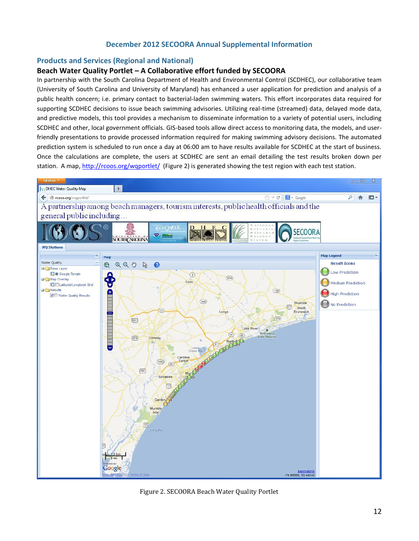### **December 2012 SECOORA Annual Supplemental Information**

#### **Products and Services (Regional and National)**

#### **Beach Water Quality Portlet – A Collaborative effort funded by SECOORA**

In partnership with the South Carolina Department of Health and Environmental Control (SCDHEC), our collaborative team (University of South Carolina and University of Maryland) has enhanced a user application for prediction and analysis of a public health concern; i.e. primary contact to bacterial-laden swimming waters. This effort incorporates data required for supporting SCDHEC decisions to issue beach swimming advisories. Utilizing real-time (streamed) data, delayed mode data, and predictive models, this tool provides a mechanism to disseminate information to a variety of potential users, including SCDHEC and other, local government officials. GIS-based tools allow direct access to monitoring data, the models, and userfriendly presentations to provide processed information required for making swimming advisory decisions. The automated prediction system is scheduled to run once a day at 06:00 am to have results available for SCDHEC at the start of business. Once the calculations are complete, the users at SCDHEC are sent an email detailing the test results broken down per station. A map,<http://rcoos.org/wqportlet/>(Figure 2) is generated showing the test region with each test station.



Figure 2. SECOORA Beach Water Quality Portlet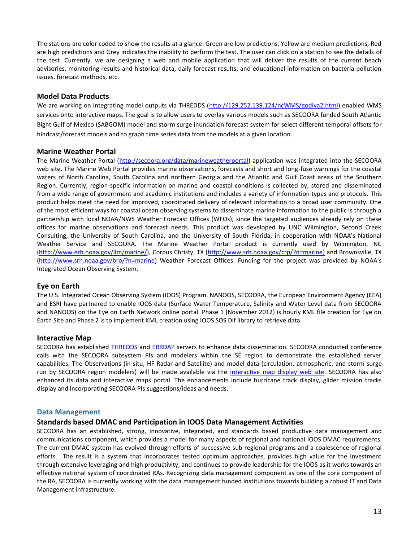The stations are color coded to show the results at a glance: Green are low predictions, Yellow are medium predictions, Red are high predictions and Grey indicates the inability to perform the test. The user can click on a station to see the details of the test. Currently, we are designing a web and mobile application that will deliver the results of the current beach advisories, monitoring results and historical data, daily forecast results, and educational information on bacteria pollution issues, forecast methods, etc.

#### **Model Data Products**

We are working on integrating model outputs via THREDDS [\(http://129.252.139.124/ncWMS/godiva2.html\)](http://129.252.139.124/ncWMS/godiva2.html) enabled WMS services onto interactive maps. The goal is to allow users to overlay various models such as SECOORA funded South Atlantic Bight Gulf of Mexico (SABGOM) model and storm surge inundation forecast system for select different temporal offsets for hindcast/forecast models and to graph time series data from the models at a given location.

#### **Marine Weather Portal**

The Marine Weather Portal [\(http://secoora.org/data/marineweatherportal\)](http://secoora.org/data/marineweatherportal) application was integrated into the SECOORA web site. The Marine Web Portal provides marine observations, forecasts and short and long-fuse warnings for the coastal waters of North Carolina, South Carolina and northern Georgia and the Atlantic and Gulf Coast areas of the Southern Region. Currently, region-specific information on marine and coastal conditions is collected by, stored and disseminated from a wide range of government and academic institutions and includes a variety of information types and protocols. This product helps meet the need for improved, coordinated delivery of relevant information to a broad user community. One of the most efficient ways for coastal ocean observing systems to disseminate marine information to the public is through a partnership with local NOAA/NWS Weather Forecast Offices (WFOs), since the targeted audiences already rely on these offices for marine observations and forecast needs. This product was developed by UNC Wilmington, Second Creek Consulting, the University of South Carolina, and the University of South Florida, in cooperation with NOAA's National Weather Service and SECOORA. The Marine Weather Portal product is currently used by Wilmington, NC [\(http://www.erh.noaa.gov/ilm/marine/\)](http://www.erh.noaa.gov/ilm/marine/), Corpus Christy, TX [\(http://www.srh.noaa.gov/crp/?n=marine\)](http://www.srh.noaa.gov/crp/?n=marine) and Brownsville, TX [\(http://www.srh.noaa.gov/bro/?n=marine\)](http://www.srh.noaa.gov/bro/?n=marine) Weather Forecast Offices. Funding for the project was provided by NOAA's Integrated Ocean Observing System.

#### **Eye on Earth**

The U.S. Integrated Ocean Observing System (IOOS) Program, NANOOS, SECOORA, the European Environment Agency (EEA) and ESRI have partnered to enable IOOS data (Surface Water Temperature, Salinity and Water Level data from SECOORA and NANOOS) on the Eye on Earth Network online portal. Phase 1 (November 2012) is hourly KML file creation for Eye on Earth Site and Phase 2 is to implement KML creation using IOOS SOS Dif library to retrieve data.

#### **Interactive Map**

SECOORA has established [THREDDS](http://129.252.139.124/thredds/catalog.html) and [ERRDAP](http://129.252.139.124/erddap) servers to enhance data dissemination. SECOORA conducted conference calls with the SECOORA subsystem PIs and modelers within the SE region to demonstrate the established server capabilities. The Observations (in-situ, HF Radar and Satellite) and model data (circulation, atmospheric, and storm surge run by SECOORA region modelers) will be made available via the [interactive map display web site.](http://secoora.org/maps/interactivemodelmap.php) SECOORA has also enhanced its data and interactive maps portal. The enhancements include hurricane track display, glider mission tracks display and incorporating SECOORA PIs suggestions/ideas and needs.

#### **Data Management**

## **Standards based DMAC and Participation in IOOS Data Management Activities**

SECOORA has an established, strong, innovative, integrated, and standards based productive data management and communications component, which provides a model for many aspects of regional and national IOOS DMAC requirements. The current DMAC system has evolved through efforts of successive sub-regional programs and a coalescence of regional efforts. The result is a system that incorporates tested optimum approaches, provides high value for the investment through extensive leveraging and high productivity, and continues to provide leadership for the IOOS as it works towards an effective national system of coordinated RAs. Recognizing data management component as one of the core component of the RA, SECOORA is currently working with the data management funded institutions towards building a robust IT and Data Management infrastructure.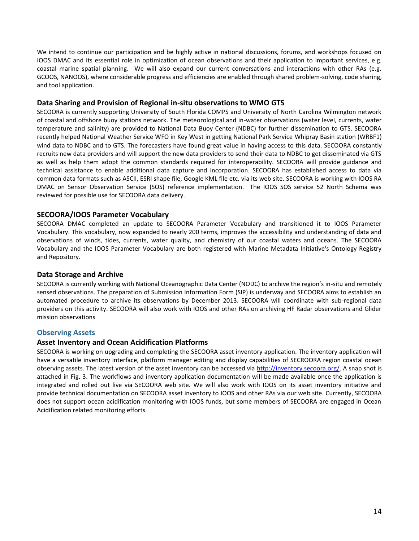We intend to continue our participation and be highly active in national discussions, forums, and workshops focused on IOOS DMAC and its essential role in optimization of ocean observations and their application to important services, e.g. coastal marine spatial planning. We will also expand our current conversations and interactions with other RAs (e.g. GCOOS, NANOOS), where considerable progress and efficiencies are enabled through shared problem-solving, code sharing, and tool application.

#### **Data Sharing and Provision of Regional in-situ observations to WMO GTS**

SECOORA is currently supporting University of South Florida COMPS and University of North Carolina Wilmington network of coastal and offshore buoy stations network. The meteorological and in-water observations (water level, currents, water temperature and salinity) are provided to National Data Buoy Center (NDBC) for further dissemination to GTS. SECOORA recently helped National Weather Service WFO in Key West in getting National Park Service Whipray Basin station (WRBF1) wind data to NDBC and to GTS. The forecasters have found great value in having access to this data. SECOORA constantly recruits new data providers and will support the new data providers to send their data to NDBC to get disseminated via GTS as well as help them adopt the common standards required for interoperability. SECOORA will provide guidance and technical assistance to enable additional data capture and incorporation. SECOORA has established access to data via common data formats such as ASCII, ESRI shape file, Google KML file etc. via its web site. SECOORA is working with IOOS RA DMAC on Sensor Observation Service (SOS) reference implementation. The IOOS SOS service 52 North Schema was reviewed for possible use for SECOORA data delivery.

#### **SECOORA/IOOS Parameter Vocabulary**

SECOORA DMAC completed an update to SECOORA Parameter Vocabulary and transitioned it to IOOS Parameter Vocabulary. This vocabulary, now expanded to nearly 200 terms, improves the accessibility and understanding of data and observations of winds, tides, currents, water quality, and chemistry of our coastal waters and oceans. The SECOORA Vocabulary and the IOOS Parameter Vocabulary are both registered with Marine Metadata Initiative's Ontology Registry and Repository.

### **Data Storage and Archive**

SECOORA is currently working with National Oceanographic Data Center (NODC) to archive the region's in-situ and remotely sensed observations. The preparation of Submission Information Form (SIP) is underway and SECOORA aims to establish an automated procedure to archive its observations by December 2013. SECOORA will coordinate with sub-regional data providers on this activity. SECOORA will also work with IOOS and other RAs on archiving HF Radar observations and Glider mission observations

## **Observing Assets**

#### **Asset Inventory and Ocean Acidification Platforms**

SECOORA is working on upgrading and completing the SECOORA asset inventory application. The inventory application will have a versatile inventory interface, platform manager editing and display capabilities of SECROORA region coastal ocean observing assets. The latest version of the asset inventory can be accessed via [http://inventory.secoora.org/.](http://inventory.secoora.org/) A snap shot is attached in Fig. 3. The workflows and inventory application documentation will be made available once the application is integrated and rolled out live via SECOORA web site. We will also work with IOOS on its asset inventory initiative and provide technical documentation on SECOORA asset inventory to IOOS and other RAs via our web site. Currently, SECOORA does not support ocean acidification monitoring with IOOS funds, but some members of SECOORA are engaged in Ocean Acidification related monitoring efforts.